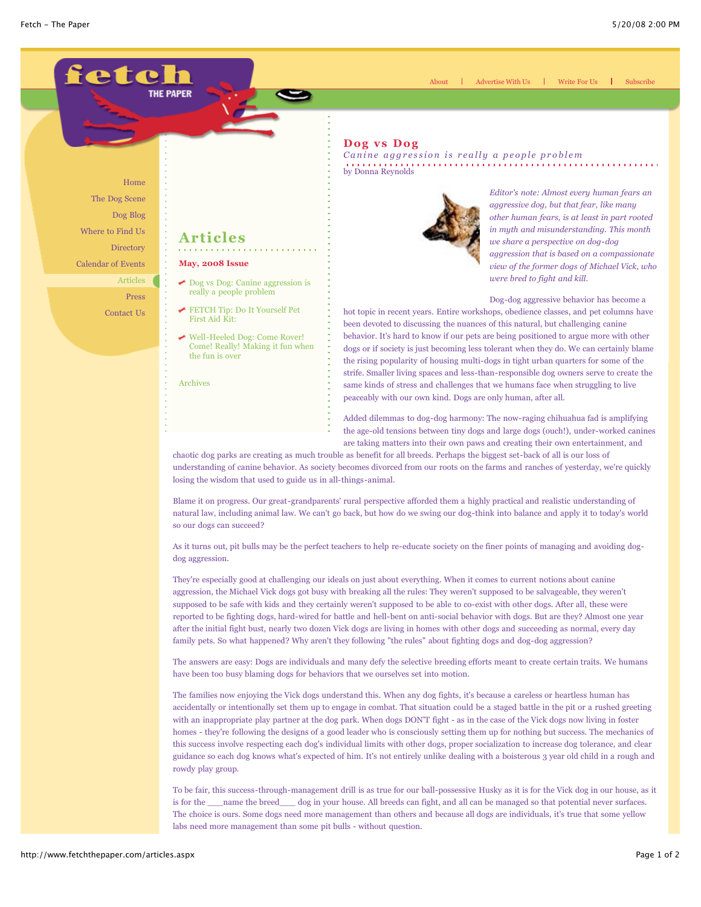

Home The Dog Scene Dog Blog Where to Find Us Directory Calendar of Events

> Articles Press

Contact Us

# **Articles**

- **May, 2008 Issue**
- [Dog vs Dog: Canine aggression is](http://www.fetchthepaper.com/articles.aspx?gi_id=2849) really a people problem
- [FETCH Tip: Do It Yourself Pet](http://www.fetchthepaper.com/articles.aspx?gi_id=2850) First Aid Kit:
- Well-Heeled Dog: Come Rover! [Come! Really! Making it fun when](http://www.fetchthepaper.com/articles.aspx?gi_id=2851) the fun is over

[Archives](http://www.fetchthepaper.com/articles_archives.aspx)

## **Dog vs Dog**

*Canine aggression is really a people problem* by Donna Reynolds



*Editor's note: Almost every human fears an aggressive dog, but that fear, like many other human fears, is at least in part rooted in myth and misunderstanding. This month we share a perspective on dog-dog aggression that is based on a compassionate view of the former dogs of Michael Vick, who were bred to fight and kill.*

Advertise With Us | Write For Us | Subscribe

Dog-dog aggressive behavior has become a

hot topic in recent years. Entire workshops, obedience classes, and pet columns have been devoted to discussing the nuances of this natural, but challenging canine behavior. It's hard to know if our pets are being positioned to argue more with other dogs or if society is just becoming less tolerant when they do. We can certainly blame the rising popularity of housing multi-dogs in tight urban quarters for some of the strife. Smaller living spaces and less-than-responsible dog owners serve to create the same kinds of stress and challenges that we humans face when struggling to live peaceably with our own kind. Dogs are only human, after all.

Added dilemmas to dog-dog harmony: The now-raging chihuahua fad is amplifying the age-old tensions between tiny dogs and large dogs (ouch!), under-worked canines are taking matters into their own paws and creating their own entertainment, and

chaotic dog parks are creating as much trouble as benefit for all breeds. Perhaps the biggest set-back of all is our loss of understanding of canine behavior. As society becomes divorced from our roots on the farms and ranches of yesterday, we're quickly losing the wisdom that used to guide us in all-things-animal.

Blame it on progress. Our great-grandparents' rural perspective afforded them a highly practical and realistic understanding of natural law, including animal law. We can't go back, but how do we swing our dog-think into balance and apply it to today's world so our dogs can succeed?

As it turns out, pit bulls may be the perfect teachers to help re-educate society on the finer points of managing and avoiding dogdog aggression.

They're especially good at challenging our ideals on just about everything. When it comes to current notions about canine aggression, the Michael Vick dogs got busy with breaking all the rules: They weren't supposed to be salvageable, they weren't supposed to be safe with kids and they certainly weren't supposed to be able to co-exist with other dogs. After all, these were reported to be fighting dogs, hard-wired for battle and hell-bent on anti-social behavior with dogs. But are they? Almost one year after the initial fight bust, nearly two dozen Vick dogs are living in homes with other dogs and succeeding as normal, every day family pets. So what happened? Why aren't they following "the rules" about fighting dogs and dog-dog aggression?

The answers are easy: Dogs are individuals and many defy the selective breeding efforts meant to create certain traits. We humans have been too busy blaming dogs for behaviors that we ourselves set into motion.

The families now enjoying the Vick dogs understand this. When any dog fights, it's because a careless or heartless human has accidentally or intentionally set them up to engage in combat. That situation could be a staged battle in the pit or a rushed greeting with an inappropriate play partner at the dog park. When dogs DON'T fight - as in the case of the Vick dogs now living in foster homes - they're following the designs of a good leader who is consciously setting them up for nothing but success. The mechanics of this success involve respecting each dog's individual limits with other dogs, proper socialization to increase dog tolerance, and clear guidance so each dog knows what's expected of him. It's not entirely unlike dealing with a boisterous 3 year old child in a rough and rowdy play group.

To be fair, this success-through-management drill is as true for our ball-possessive Husky as it is for the Vick dog in our house, as it is for the \_\_\_\_name the breed\_\_\_\_ dog in your house. All breeds can fight, and all can be managed so that potential never surfaces. The choice is ours. Some dogs need more management than others and because all dogs are individuals, it's true that some yellow labs need more management than some pit bulls - without question.